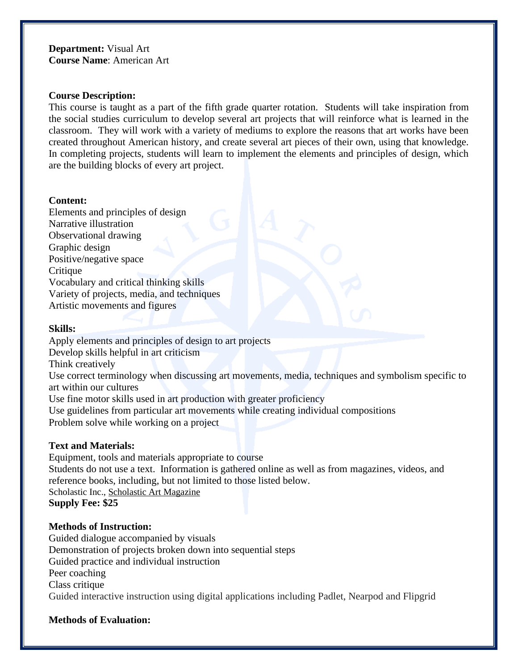## **Department:** Visual Art **Course Name**: American Art

## **Course Description:**

This course is taught as a part of the fifth grade quarter rotation. Students will take inspiration from the social studies curriculum to develop several art projects that will reinforce what is learned in the classroom. They will work with a variety of mediums to explore the reasons that art works have been created throughout American history, and create several art pieces of their own, using that knowledge. In completing projects, students will learn to implement the elements and principles of design, which are the building blocks of every art project.

# **Content:**

Elements and principles of design Narrative illustration Observational drawing Graphic design Positive/negative space **Critique** Vocabulary and critical thinking skills Variety of projects, media, and techniques Artistic movements and figures

# **Skills:**

Apply elements and principles of design to art projects Develop skills helpful in art criticism Think creatively Use correct terminology when discussing art movements, media, techniques and symbolism specific to art within our cultures Use fine motor skills used in art production with greater proficiency Use guidelines from particular art movements while creating individual compositions Problem solve while working on a project

## **Text and Materials:**

Equipment, tools and materials appropriate to course Students do not use a text. Information is gathered online as well as from magazines, videos, and reference books, including, but not limited to those listed below. Scholastic Inc., Scholastic Art Magazine **Supply Fee: \$25**

## **Methods of Instruction:**

Guided dialogue accompanied by visuals Demonstration of projects broken down into sequential steps Guided practice and individual instruction Peer coaching Class critique Guided interactive instruction using digital applications including Padlet, Nearpod and Flipgrid

## **Methods of Evaluation:**